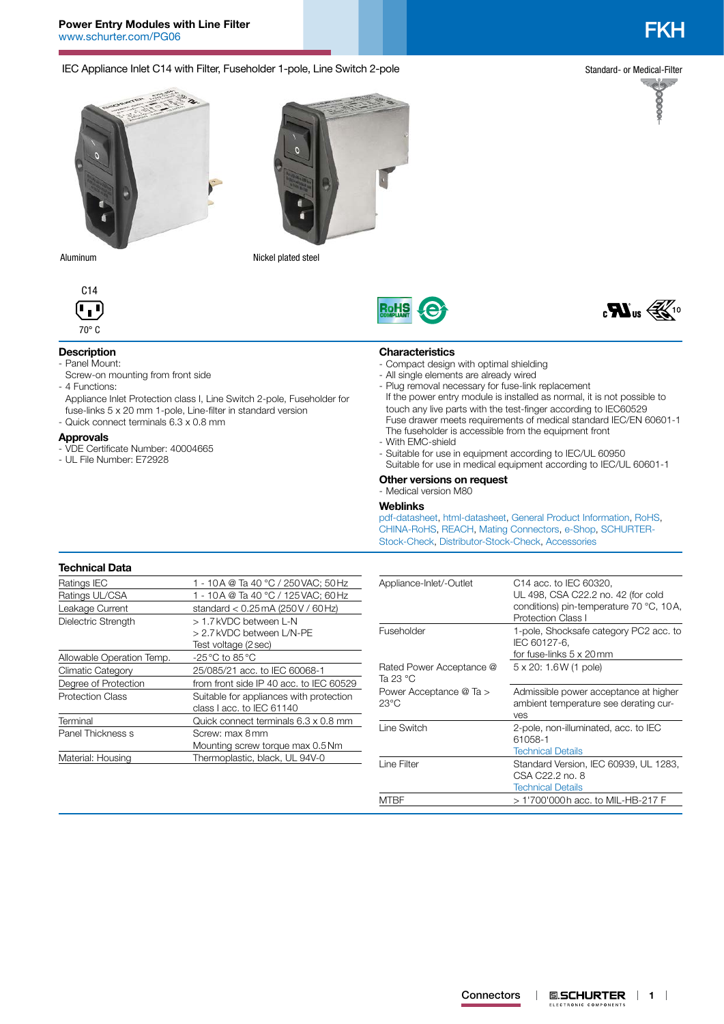IEC Appliance Inlet C14 with Filter, Fuseholder 1-pole, Line Switch 2-pole

Standard- or Medical-Filter

66666



Screw-on mounting from front side

- Quick connect terminals 6.3 x 0.8 mm

- VDE Certificate Number: 40004665

- UL File Number: E72928

Aluminum Nickel plated steel



**Description** - Panel Mount:

- 4 Functions:

**Approvals**

# **RoH**



- Compact design with optimal shielding
- All single elements are already wired
- If the power entry module is installed as normal, it is not possible to touch any live parts with the test-finger according to IEC60529 Fuse drawer meets requirements of medical standard IEC/EN 60601-1 The fuseholder is accessible from the equipment front - With EMC-shield
- 
- Suitable for use in equipment according to IEC/UL 60950 Suitable for use in medical equipment according to IEC/UL 60601-1

#### **Other versions on request** - Medical version M80

# **Weblinks**

[pdf-datasheet](http://www.schurter.ch/pdf/english/typ_FKH.pdf), [html-datasheet](http://www.schurter.ch/en/datasheet/FKH), [General Product Information,](http://www.schurter.ch/products/iec_connector_overview.asp) [RoHS,](http://www.schurter.ch/company/rohs.asp) [CHINA-RoHS,](http://www.schurter.ch/company/china_rohs.asp) [REACH,](http://www.schurter.ch/company/reach.asp) [Mating Connectors](http://www.schurter.ch/Components/Connectors/Mating-Connectors), [e-Shop,](http:///en/Stock-Check/e-Shop?MATNR=FKH&COM_QTY=&AUTOSEARCH=true&VARIANT=E-SHOP) [SCHURTER-](http:///en/Stock-Check/Stock-Check-SCHURTER?MATNR=FKH&COM_QTY=10&AUTOSEARCH=true)[Stock-Check](http:///en/Stock-Check/Stock-Check-SCHURTER?MATNR=FKH&COM_QTY=10&AUTOSEARCH=true), [Distributor-Stock-Check,](http:///en/Stock-Check/Stock-Check-Distributor?partnumber1=FKH) [Accessories](http://www.schurter.ch/wwwsc/con_z01.asp)

#### **Technical Data**

| Ratings IEC               | 1 - 10 A @ Ta 40 °C / 250 VAC; 50 Hz             |  |  |  |
|---------------------------|--------------------------------------------------|--|--|--|
| Ratings UL/CSA            | 1 - 10 A @ Ta 40 °C / 125 VAC; 60 Hz             |  |  |  |
| Leakage Current           | standard $< 0.25$ mA (250 V / 60 Hz)             |  |  |  |
| Dielectric Strength       | > 1.7 kVDC between L-N                           |  |  |  |
|                           | > 2.7 kVDC between L/N-PE                        |  |  |  |
|                           | Test voltage (2 sec)                             |  |  |  |
| Allowable Operation Temp. | $-25\,^{\circ}\text{C}$ to 85 $^{\circ}\text{C}$ |  |  |  |
| <b>Climatic Category</b>  | 25/085/21 acc. to IEC 60068-1                    |  |  |  |
| Degree of Protection      | from front side IP 40 acc. to IEC 60529          |  |  |  |
| <b>Protection Class</b>   | Suitable for appliances with protection          |  |  |  |
|                           | class I acc. to IEC 61140                        |  |  |  |
| Terminal                  | Quick connect terminals 6.3 x 0.8 mm             |  |  |  |
| Panel Thickness s         | Screw: max 8 mm                                  |  |  |  |
|                           | Mounting screw torque max 0.5 Nm                 |  |  |  |
| Material: Housing         | Thermoplastic, black, UL 94V-0                   |  |  |  |
|                           |                                                  |  |  |  |

Appliance Inlet Protection class I, Line Switch 2-pole, Fuseholder for fuse-links 5 x 20 mm 1-pole, Line-filter in standard version

| Appliance-Inlet/-Outlet              | C <sub>14</sub> acc. to IEC 60320,<br>UL 498, CSA C22.2 no. 42 (for cold<br>conditions) pin-temperature 70 °C, 10A,<br>Protection Class I |
|--------------------------------------|-------------------------------------------------------------------------------------------------------------------------------------------|
| Fuseholder                           | 1-pole, Shocksafe category PC2 acc. to<br>IEC 60127-6.<br>for fuse-links 5 x 20mm                                                         |
| Rated Power Acceptance @<br>Ta 23 °C | 5 x 20: 1.6 W (1 pole)                                                                                                                    |
| Power Acceptance @ Ta ><br>23°C      | Admissible power acceptance at higher<br>ambient temperature see derating cur-<br>ves                                                     |
| Line Switch                          | 2-pole, non-illuminated, acc. to IEC<br>61058-1<br><b>Technical Details</b>                                                               |
| Line Filter                          | Standard Version, IEC 60939, UL 1283,<br>CSA C22.2 no. 8<br><b>Technical Details</b>                                                      |
| MTBF                                 | > 1'700'000h acc. to MIL-HB-217 F                                                                                                         |

# **Characteristics**

- 
- Plug removal necessary for fuse-link replacement

ELECTRONIC COMPONENTS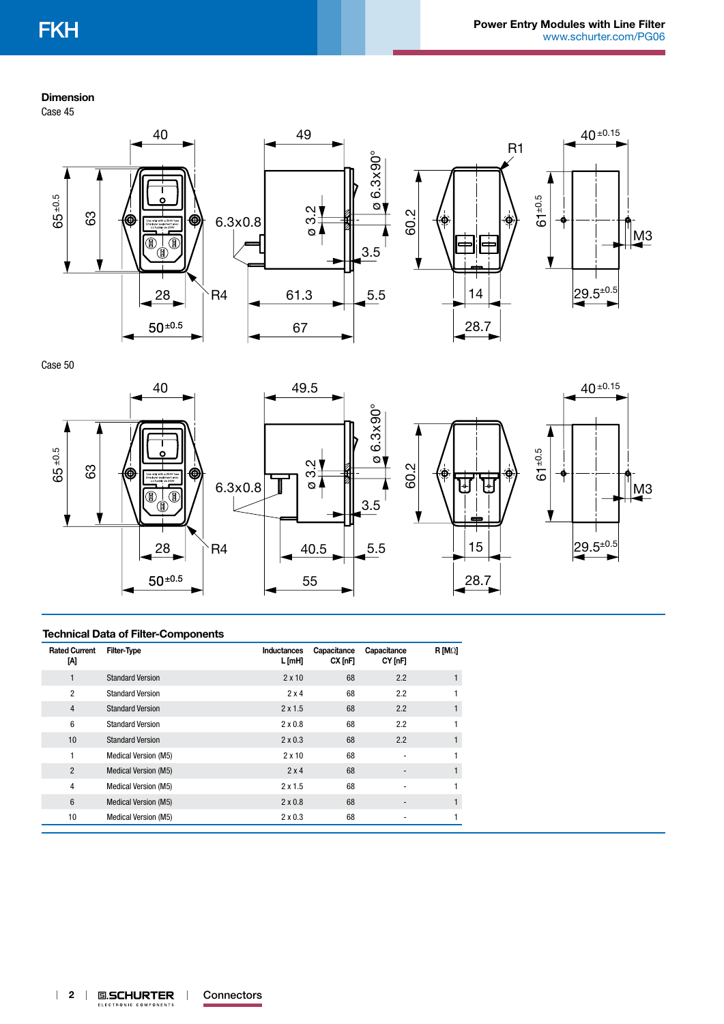### **Dimension**

Case 45



Case 50



#### **Technical Data of Filter-Components**

| <b>Rated Current</b><br>M | <b>Filter-Type</b>          | <b>Inductances</b><br>L [mH] | Capacitance<br>$CX$ [nF] | Capacitance<br>CY [nF] | $R$ [M $\Omega$ ] |
|---------------------------|-----------------------------|------------------------------|--------------------------|------------------------|-------------------|
| 1                         | <b>Standard Version</b>     | $2 \times 10$                | 68                       | 2.2                    | 1                 |
| $\overline{2}$            | <b>Standard Version</b>     | $2 \times 4$                 | 68                       | 2.2                    |                   |
| $\overline{4}$            | <b>Standard Version</b>     | $2 \times 1.5$               | 68                       | 2.2                    | 1                 |
| 6                         | <b>Standard Version</b>     | $2 \times 0.8$               | 68                       | 2.2                    | 1                 |
| 10                        | <b>Standard Version</b>     | $2 \times 0.3$               | 68                       | 2.2                    | 1                 |
| 1                         | <b>Medical Version (M5)</b> | $2 \times 10$                | 68                       |                        |                   |
| $\overline{2}$            | <b>Medical Version (M5)</b> | 2x4                          | 68                       | -                      | $\mathbf{1}$      |
| 4                         | Medical Version (M5)        | 2x1.5                        | 68                       |                        | 1                 |
| 6                         | <b>Medical Version (M5)</b> | $2 \times 0.8$               | 68                       | -                      | 1                 |
| 10                        | Medical Version (M5)        | $2 \times 0.3$               | 68                       |                        | 1                 |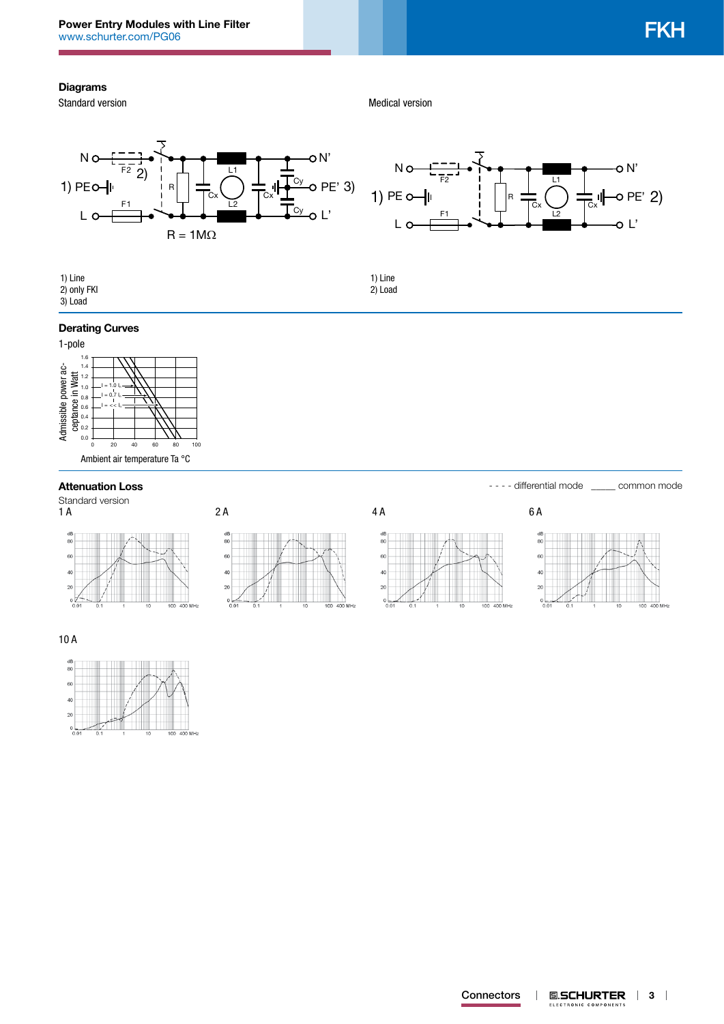### **Diagrams**

Standard version

Medical version

1) Line 2) Load





| 1) Line     |  |
|-------------|--|
| 2) only FKI |  |
| 9100d       |  |

# 3) Load

## **Derating Curves**



# Attenuation Loss **Attenuation Loss Attenuation Loss Exercísion Loss - - - - differential mode**  $\_\_\_\_$  common mode

Standard version<br>1 A







|  | - differential mode |  |
|--|---------------------|--|
|  |                     |  |



10 A **Technical Data of Filter-Components**

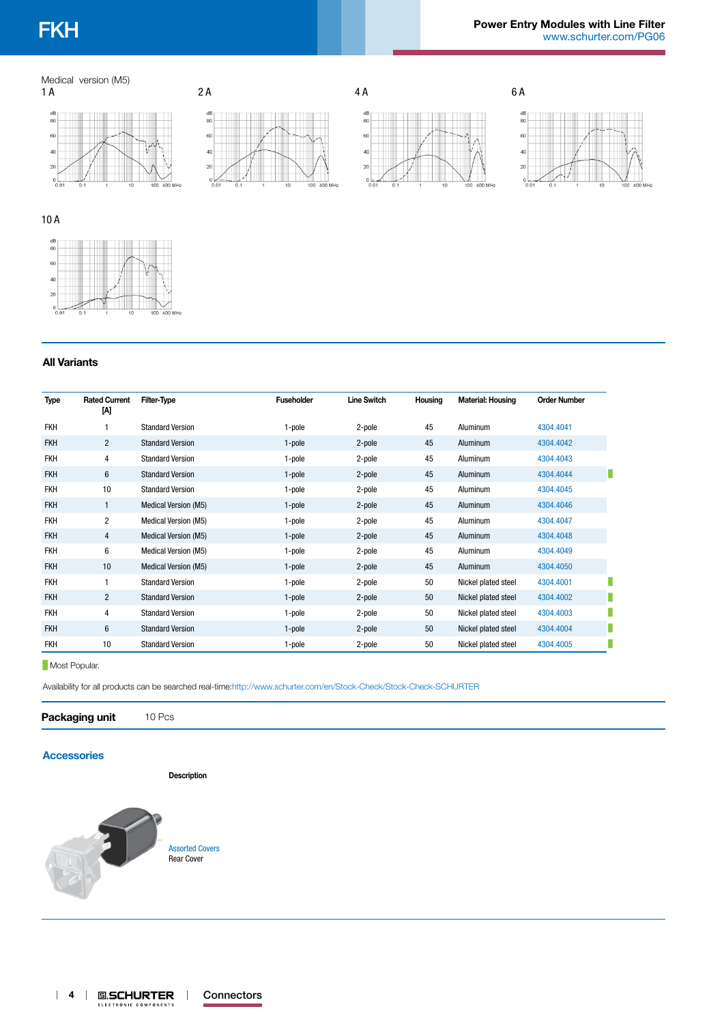# Medical version (M5)









10 A



### **All Variants**

| <b>Type</b> | <b>Rated Current</b><br>M | Filter-Type                 | <b>Fuseholder</b> | <b>Line Switch</b> | Housing | <b>Material: Housing</b> | <b>Order Number</b> |
|-------------|---------------------------|-----------------------------|-------------------|--------------------|---------|--------------------------|---------------------|
| <b>FKH</b>  |                           | <b>Standard Version</b>     | 1-pole            | 2-pole             | 45      | Aluminum                 | 4304.4041           |
| <b>FKH</b>  | $\overline{2}$            | <b>Standard Version</b>     | 1-pole            | 2-pole             | 45      | Aluminum                 | 4304.4042           |
| <b>FKH</b>  | 4                         | <b>Standard Version</b>     | 1-pole            | 2-pole             | 45      | Aluminum                 | 4304.4043           |
| <b>FKH</b>  | 6                         | <b>Standard Version</b>     | 1-pole            | 2-pole             | 45      | <b>Aluminum</b>          | 4304.4044           |
| <b>FKH</b>  | 10                        | <b>Standard Version</b>     | 1-pole            | 2-pole             | 45      | Aluminum                 | 4304.4045           |
| <b>FKH</b>  | $\mathbf{1}$              | Medical Version (M5)        | 1-pole            | 2-pole             | 45      | Aluminum                 | 4304.4046           |
| <b>FKH</b>  | $\overline{2}$            | Medical Version (M5)        | 1-pole            | 2-pole             | 45      | Aluminum                 | 4304.4047           |
| <b>FKH</b>  | 4                         | Medical Version (M5)        | 1-pole            | 2-pole             | 45      | <b>Aluminum</b>          | 4304.4048           |
| <b>FKH</b>  | 6                         | Medical Version (M5)        | 1-pole            | 2-pole             | 45      | Aluminum                 | 4304.4049           |
| <b>FKH</b>  | 10                        | <b>Medical Version (M5)</b> | 1-pole            | 2-pole             | 45      | <b>Aluminum</b>          | 4304.4050           |
| <b>FKH</b>  |                           | <b>Standard Version</b>     | 1-pole            | 2-pole             | 50      | Nickel plated steel      | 4304.4001           |
| <b>FKH</b>  | $\overline{2}$            | <b>Standard Version</b>     | 1-pole            | 2-pole             | 50      | Nickel plated steel      | 4304.4002           |
| <b>FKH</b>  | 4                         | <b>Standard Version</b>     | 1-pole            | 2-pole             | 50      | Nickel plated steel      | 4304.4003           |
| <b>FKH</b>  | $\boldsymbol{6}$          | <b>Standard Version</b>     | 1-pole            | 2-pole             | 50      | Nickel plated steel      | 4304.4004           |
| <b>FKH</b>  | 10                        | <b>Standard Version</b>     | 1-pole            | 2-pole             | 50      | Nickel plated steel      | 4304.4005           |

#### **Most Popular.**

Availability for all products can be searched real-time:<http://www.schurter.com/en/Stock-Check/Stock-Check-SCHURTER>

**Packaging unit** 10 Pcs

# **[Accessories](http://www.schurter.ch/wwwsc/con_z01.asp)**

**Description**